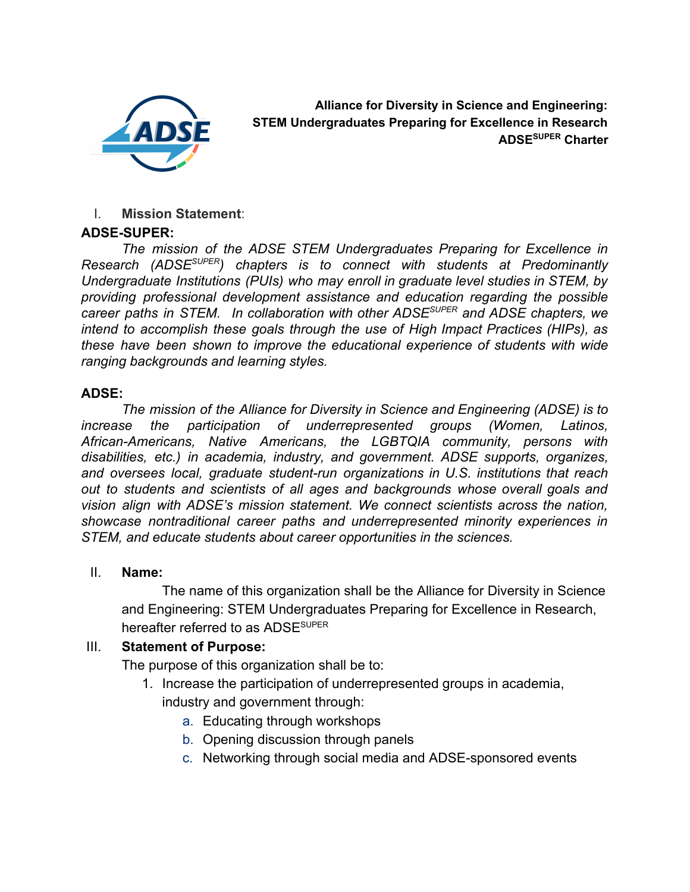

**Alliance for Diversity in Science and Engineering: STEM Undergraduates Preparing for Excellence in Research ADSE SUPER Charter**

### I. **Mission Statement**:

### **ADSE-SUPER:**

*The mission of the ADSE STEM Undergraduates Preparing for Excellence in Research (ADSESUPER ) chapters is to connect with students at Predominantly Undergraduate Institutions (PUIs) who may enroll in graduate level studies in STEM, by providing professional development assistance and education regarding the possible career paths in STEM. In collaboration with other ADSESUPER and ADSE chapters, we intend to accomplish these goals through the use of High Impact Practices (HIPs), as these have been shown to improve the educational experience of students with wide ranging backgrounds and learning styles.*

### **ADSE:**

*The mission of the Alliance for Diversity in Science and Engineering (ADSE) is to increase the participation of underrepresented groups (Women, Latinos, African-Americans, Native Americans, the LGBTQIA community, persons with disabilities, etc.) in academia, industry, and government. ADSE supports, organizes, and oversees local, graduate student-run organizations in U.S. institutions that reach out to students and scientists of all ages and backgrounds whose overall goals and vision align with ADSE's mission statement. We connect scientists across the nation, showcase nontraditional career paths and underrepresented minority experiences in STEM, and educate students about career opportunities in the sciences.*

### II. **Name:**

The name of this organization shall be the Alliance for Diversity in Science and Engineering: STEM Undergraduates Preparing for Excellence in Research, hereafter referred to as ADSE<sup>SUPER</sup>

## III. **Statement of Purpose:**

The purpose of this organization shall be to:

- 1. Increase the participation of underrepresented groups in academia, industry and government through:
	- a. Educating through workshops
	- b. Opening discussion through panels
	- c. Networking through social media and ADSE-sponsored events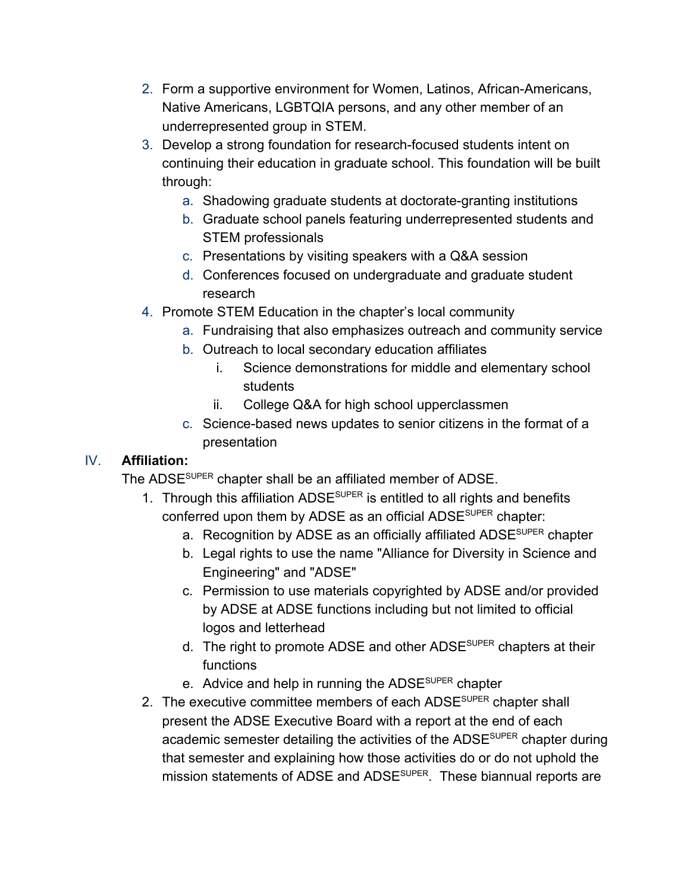- 2. Form a supportive environment for Women, Latinos, African-Americans, Native Americans, LGBTQIA persons, and any other member of an underrepresented group in STEM.
- 3. Develop a strong foundation for research-focused students intent on continuing their education in graduate school. This foundation will be built through:
	- a. Shadowing graduate students at doctorate-granting institutions
	- b. Graduate school panels featuring underrepresented students and STEM professionals
	- c. Presentations by visiting speakers with a Q&A session
	- d. Conferences focused on undergraduate and graduate student research
- 4. Promote STEM Education in the chapter's local community
	- a. Fundraising that also emphasizes outreach and community service
		- b. Outreach to local secondary education affiliates
			- i. Science demonstrations for middle and elementary school students
			- ii. College Q&A for high school upperclassmen
	- c. Science-based news updates to senior citizens in the format of a presentation

## IV. **Affiliation:**

The ADSE<sup>SUPER</sup> chapter shall be an affiliated member of ADSE.

- 1. Through this affiliation ADSE<sup>SUPER</sup> is entitled to all rights and benefits conferred upon them by ADSE as an official ADSE<sup>super</sup> chapter:
	- a. Recognition by ADSE as an officially affiliated ADSE<sup>super</sup> chapter
	- b. Legal rights to use the name "Alliance for Diversity in Science and Engineering" and "ADSE"
	- c. Permission to use materials copyrighted by ADSE and/or provided by ADSE at ADSE functions including but not limited to official logos and letterhead
	- d. The right to promote ADSE and other ADSE<sup>super</sup> chapters at their functions
	- e. Advice and help in running the ADSE<sup>super</sup> chapter
- 2. The executive committee members of each ADSE<sup>SUPER</sup> chapter shall present the ADSE Executive Board with a report at the end of each academic semester detailing the activities of the ADSE<sup>super</sup> chapter during that semester and explaining how those activities do or do not uphold the mission statements of ADSE and ADSE<sup>SUPER</sup>. These biannual reports are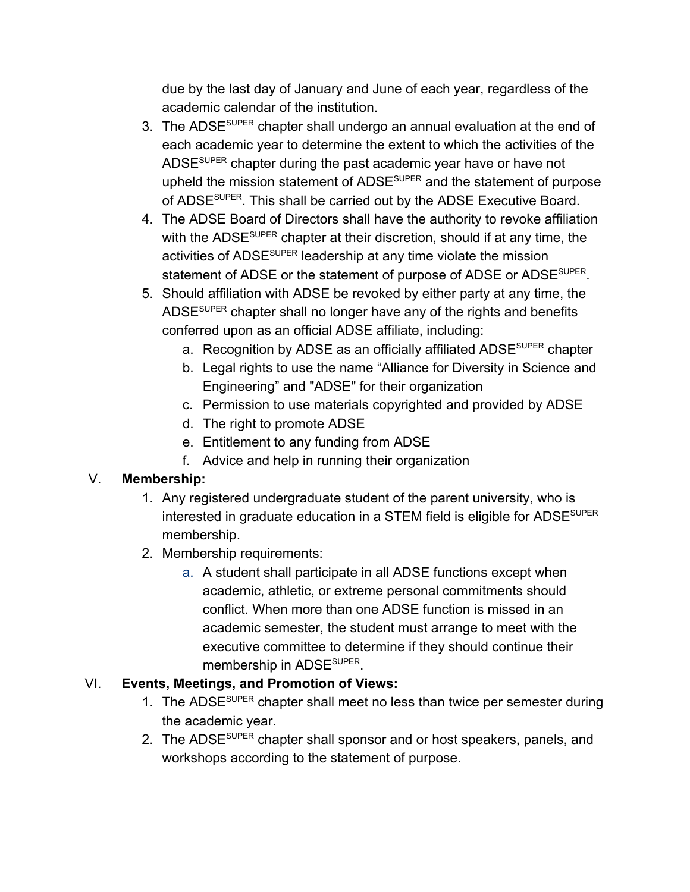due by the last day of January and June of each year, regardless of the academic calendar of the institution.

- 3. The ADSE<sup>super</sup> chapter shall undergo an annual evaluation at the end of each academic year to determine the extent to which the activities of the ADSE<sup>super</sup> chapter during the past academic year have or have not upheld the mission statement of ADSE<sup>super</sup> and the statement of purpose of ADSE<sup>SUPER</sup>. This shall be carried out by the ADSE Executive Board.
- 4. The ADSE Board of Directors shall have the authority to revoke affiliation with the ADSE<sup>super</sup> chapter at their discretion, should if at any time, the activities of ADSE<sup>super</sup> leadership at any time violate the mission statement of ADSE or the statement of purpose of ADSE or ADSE<sup>SUPER</sup>.
- 5. Should affiliation with ADSE be revoked by either party at any time, the ADSE<sup>super</sup> chapter shall no longer have any of the rights and benefits conferred upon as an official ADSE affiliate, including:
	- a. Recognition by ADSE as an officially affiliated ADSE<sup>super</sup> chapter
	- b. Legal rights to use the name "Alliance for Diversity in Science and Engineering" and "ADSE" for their organization
	- c. Permission to use materials copyrighted and provided by ADSE
	- d. The right to promote ADSE
	- e. Entitlement to any funding from ADSE
	- f. Advice and help in running their organization

# V. **Membership:**

- 1. Any registered undergraduate student of the parent university, who is interested in graduate education in a STEM field is eligible for ADSE<sup>SUPER</sup> membership.
- 2. Membership requirements:
	- a. A student shall participate in all ADSE functions except when academic, athletic, or extreme personal commitments should conflict. When more than one ADSE function is missed in an academic semester, the student must arrange to meet with the executive committee to determine if they should continue their membership in ADSE<sup>super</sup>.

## VI. **Events, Meetings, and Promotion of Views:**

- 1. The ADSE<sup>SUPER</sup> chapter shall meet no less than twice per semester during the academic year.
- 2. The ADSE<sup>SUPER</sup> chapter shall sponsor and or host speakers, panels, and workshops according to the statement of purpose.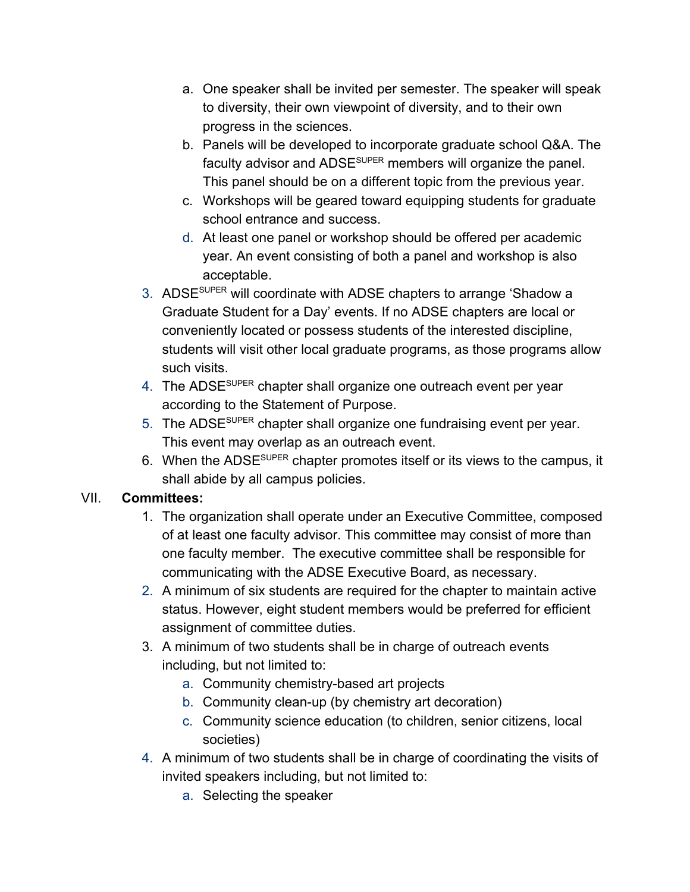- a. One speaker shall be invited per semester. The speaker will speak to diversity, their own viewpoint of diversity, and to their own progress in the sciences.
- b. Panels will be developed to incorporate graduate school Q&A. The faculty advisor and ADSE<sup>super</sup> members will organize the panel. This panel should be on a different topic from the previous year.
- c. Workshops will be geared toward equipping students for graduate school entrance and success.
- d. At least one panel or workshop should be offered per academic year. An event consisting of both a panel and workshop is also acceptable.
- 3. ADSE<sup>SUPER</sup> will coordinate with ADSE chapters to arrange 'Shadow a Graduate Student for a Day' events. If no ADSE chapters are local or conveniently located or possess students of the interested discipline, students will visit other local graduate programs, as those programs allow such visits.
- 4. The ADSE<sup>super</sup> chapter shall organize one outreach event per year according to the Statement of Purpose.
- 5. The ADSE<sup>SUPER</sup> chapter shall organize one fundraising event per year. This event may overlap as an outreach event.
- 6. When the ADSE<sup>super</sup> chapter promotes itself or its views to the campus, it shall abide by all campus policies.

## VII. **Committees:**

- 1. The organization shall operate under an Executive Committee, composed of at least one faculty advisor. This committee may consist of more than one faculty member. The executive committee shall be responsible for communicating with the ADSE Executive Board, as necessary.
- 2. A minimum of six students are required for the chapter to maintain active status. However, eight student members would be preferred for efficient assignment of committee duties.
- 3. A minimum of two students shall be in charge of outreach events including, but not limited to:
	- a. Community chemistry-based art projects
	- b. Community clean-up (by chemistry art decoration)
	- c. Community science education (to children, senior citizens, local societies)
- 4. A minimum of two students shall be in charge of coordinating the visits of invited speakers including, but not limited to:
	- a. Selecting the speaker